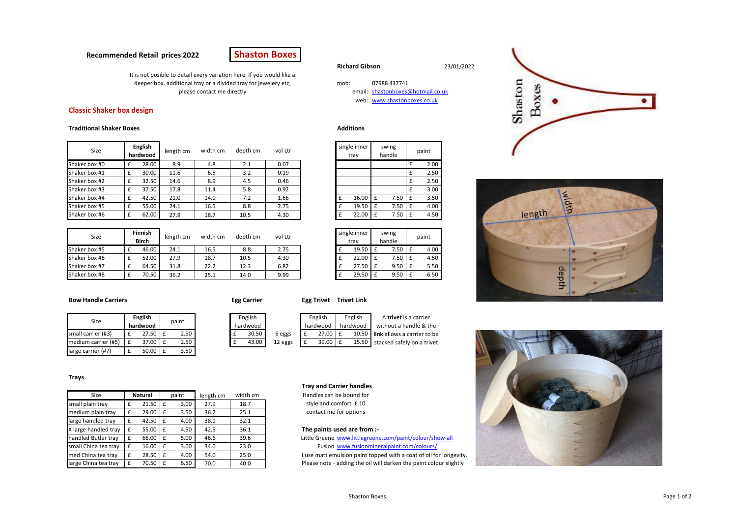# **Recommended Retail prices 2022**



mob: 07988 437741

web: [www.shastonboxes.co.uk](http://www.shastonboxes.co.uk/)

swing

It is not posible to detail every variation here. If you would like a deeper box, additional tray or a divided tray for jewelery etc, please contact me directly

# **Classic Shaker box design**

## **Traditional Shaker Boxes Additions**

| Size          | <b>English</b><br>hardwood |       | length cm | width cm | depth cm | vol Ltr |  | single inner<br>trav | swing<br>handle |      | paint |
|---------------|----------------------------|-------|-----------|----------|----------|---------|--|----------------------|-----------------|------|-------|
| Shaker box #0 |                            | 28.00 | 8.9       | 4.8      | 2.1      | 0.07    |  |                      |                 |      | 2.00  |
| Shaker box #1 |                            | 30.00 | 11.6      | 6.5      | 3.2      | 0.19    |  |                      |                 |      | 2.50  |
| Shaker box #2 |                            | 32.50 | 14.6      | 8.9      | 4.5      | 0.46    |  |                      |                 |      | 2.50  |
| Shaker box #3 |                            | 37.50 | 17.8      | 11.4     | 5.8      | 0.92    |  |                      |                 |      | 3.00  |
| Shaker box #4 |                            | 42.50 | 21.0      | 14.0     | 7.2      | 1.66    |  | 16.00                |                 | 7.50 | 3.50  |
| Shaker box #5 |                            | 55.00 | 24.1      | 16.5     | 8.8      | 2.75    |  | 19.50                |                 | 7.50 | 4.00  |
| Shaker box #6 |                            | 62.00 | 27.9      | 18.7     | 10.5     | 4.30    |  | 22.00                |                 | 7.50 | 4.50  |

| Size          | Finnish<br><b>Birch</b> | length cm | width cm | depth cm | vol Ltr | single inner<br>trav |       | swing<br>handle |      | paint |
|---------------|-------------------------|-----------|----------|----------|---------|----------------------|-------|-----------------|------|-------|
| Shaker box #5 | 46.00                   | 24.1      | 16.5     | 8.8      | 2.75    |                      | 19.50 |                 | 7.50 | 4.00  |
| Shaker box #6 | 52.00                   | 27.9      | 18.7     | 10.5     | 4.30    |                      | 22.00 |                 | 7.50 | 4.50  |
| Shaker box #7 | 64.50                   | 31.8      | 22.2     | 12.3     | 6.82    |                      | 27.50 |                 | 9.50 | 5.50  |
| Shaker box #8 | 70.50                   | 36.2      | 25.1     | 14.0     | 9.99    |                      | 29.50 |                 | 9.50 | 6.50  |

| <b>Bow Handle Carriers</b> |  |
|----------------------------|--|
|----------------------------|--|

| egg carr |  |
|----------|--|
|          |  |

| - - - | ------<br> | --------<br>- - |
|-------|------------|-----------------|
|       |            |                 |
|       |            |                 |
|       |            |                 |

| Size                |  | <b>English</b><br>hardwood |  | paint |          | English |         |          | English | English  |
|---------------------|--|----------------------------|--|-------|----------|---------|---------|----------|---------|----------|
|                     |  |                            |  |       | hardwood |         |         | hardwood |         | hardwood |
| small carrier (#3)  |  | 27.50                      |  | 2.50  |          | 30.50   | 6 eggs  |          | 27.00   | 10.50    |
| medium carrier (#5) |  | 37.00                      |  | 2.50  |          | 43.00   | 12 eggs |          | 39.00   | 15.50    |
| large carrier (#7)  |  | 50.00                      |  | 3.50  |          |         |         |          |         |          |

**Bow Handle Carriers Egg Carrier Egg Trivet Trivet Link** English

| English  |         |  | English  | English  | A trivet is a carrier             |
|----------|---------|--|----------|----------|-----------------------------------|
| hardwood |         |  | hardwood | hardwood | without a handle & the            |
| 30.50    | 6 eggs  |  | 27.00    |          | 10.50 link allows a carrier to be |
| 43.00    | 12 eggs |  | 39.00    |          | 15.50 stacked safely on a trivet  |

#### **Tray and Carrier handles**

Handles can be bound for style and comfort £ 10 contact me for options

### The paints used are from :-

Little Greene [www.littlegreene.com/paint/colour/show-all](http://www.littlegreene.com/paint/colour/show-all) Fusion [www.fusionmineralpaint.com/colours/](http://www.fusionmineralpaint.com/colours/) I use matt emulsion paint topped with a coat of oil for longevity. Please note - adding the oil will darken the paint colour slightly

**Richard Gibson** 23/01/2022 Shaston Boxes email: [shastonboxes@hotmail.co.uk](mailto:shastonboxes@hotmail.co.uk)





## **Trays**

| Size                 |   | Natural |   | paint | length cm | width cm |  |  |
|----------------------|---|---------|---|-------|-----------|----------|--|--|
| small plain tray     | £ | 21.50   | £ | 3.00  | 27.9      | 18.7     |  |  |
| medium plain tray    | £ | 29.00   | £ | 3.50  | 36.2      | 25.1     |  |  |
| large handled tray   | £ | 42.50   | £ | 4.00  | 38.1      | 32.1     |  |  |
| X large handled tray | £ | 55.00   | £ | 4.50  | 42.5      | 36.1     |  |  |
| handled Butler tray  | £ | 66.00   | £ | 5.00  | 46.6      | 39.6     |  |  |
| small China tea tray | £ | 16.00   | £ | 3.00  | 34.0      | 23.0     |  |  |
| med China tea tray   | £ | 28.50   | £ | 4.00  | 54.0      | 25.0     |  |  |
| large China tea tray | £ | 70.50   | £ | 6.50  | 70.0      | 40.0     |  |  |

#### Shaston Boxes Page 1 of 2